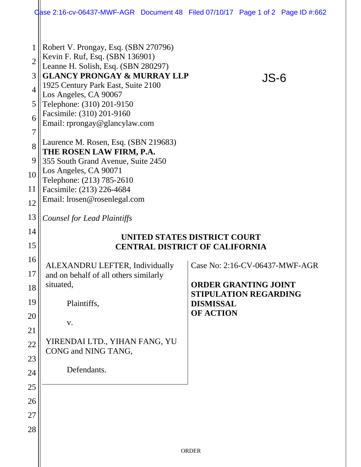|                                              | Case 2:16-cv-06437-MWF-AGR Document 48 Filed 07/10/17 Page 1 of 2 Page ID #:662                                                                                                                                                                                                                                                                            |                                                                                                       |
|----------------------------------------------|------------------------------------------------------------------------------------------------------------------------------------------------------------------------------------------------------------------------------------------------------------------------------------------------------------------------------------------------------------|-------------------------------------------------------------------------------------------------------|
| $\overline{2}$<br>3<br>4<br>5<br>6<br>7<br>8 | Robert V. Prongay, Esq. (SBN 270796)<br>Kevin F. Ruf, Esq. (SBN 136901)<br>Leanne H. Solish, Esq. (SBN 280297)<br><b>GLANCY PRONGAY &amp; MURRAY LLP</b><br>1925 Century Park East, Suite 2100<br>Los Angeles, CA 90067<br>Telephone: (310) 201-9150<br>Facsimile: (310) 201-9160<br>Email: rprongay@glancylaw.com<br>Laurence M. Rosen, Esq. (SBN 219683) | JS-6                                                                                                  |
| 9                                            | THE ROSEN LAW FIRM, P.A.<br>355 South Grand Avenue, Suite 2450                                                                                                                                                                                                                                                                                             |                                                                                                       |
| 10                                           | Los Angeles, CA 90071                                                                                                                                                                                                                                                                                                                                      |                                                                                                       |
| 11                                           | Telephone: (213) 785-2610<br>Facsimile: (213) 226-4684                                                                                                                                                                                                                                                                                                     |                                                                                                       |
| 12                                           | Email: lrosen@rosenlegal.com                                                                                                                                                                                                                                                                                                                               |                                                                                                       |
| 13                                           | Counsel for Lead Plaintiffs                                                                                                                                                                                                                                                                                                                                |                                                                                                       |
| 14                                           |                                                                                                                                                                                                                                                                                                                                                            | UNITED STATES DISTRICT COURT                                                                          |
| 15                                           | <b>CENTRAL DISTRICT OF CALIFORNIA</b>                                                                                                                                                                                                                                                                                                                      |                                                                                                       |
| 16<br>17<br>18                               | ALEXANDRU LEFTER, Individually<br>and on behalf of all others similarly<br>situated,                                                                                                                                                                                                                                                                       | $\vert$ Case No: 2:16-CV-06437-MWF-AGR<br><b>ORDER GRANTING JOINT</b><br><b>STIPULATION REGARDING</b> |
| 19                                           | Plaintiffs,                                                                                                                                                                                                                                                                                                                                                | <b>DISMISSAL</b><br><b>OF ACTION</b>                                                                  |
| 20<br>21                                     | V.                                                                                                                                                                                                                                                                                                                                                         |                                                                                                       |
| 22<br>23                                     | YIRENDAI LTD., YIHAN FANG, YU<br>CONG and NING TANG,                                                                                                                                                                                                                                                                                                       |                                                                                                       |
| 24                                           | Defendants.                                                                                                                                                                                                                                                                                                                                                |                                                                                                       |
| 25                                           |                                                                                                                                                                                                                                                                                                                                                            |                                                                                                       |
| 26                                           |                                                                                                                                                                                                                                                                                                                                                            |                                                                                                       |
| 27                                           |                                                                                                                                                                                                                                                                                                                                                            |                                                                                                       |
| 28                                           |                                                                                                                                                                                                                                                                                                                                                            |                                                                                                       |
|                                              | ORDER                                                                                                                                                                                                                                                                                                                                                      |                                                                                                       |